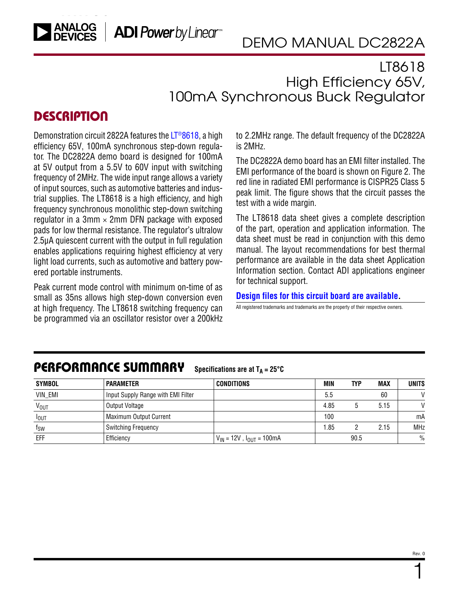## LT8618 High Efficiency 65V, 100mA Synchronous Buck Regulator

### **DESCRIPTION**

Demonstration circuit 2822A features the [LT®](https://www.analog.com/LT8618?doc=DC2822A.pdf)8618, a high efficiency 65V, 100mA synchronous step-down regulator. The DC2822A demo board is designed for 100mA at 5V output from a 5.5V to 60V input with switching frequency of 2MHz. The wide input range allows a variety of input sources, such as automotive batteries and industrial supplies. The LT8618 is a high efficiency, and high frequency synchronous monolithic step-down switching requilator in a 3mm  $\times$  2mm DFN package with exposed pads for low thermal resistance. The regulator's ultralow 2.5μA quiescent current with the output in full regulation enables applications requiring highest efficiency at very light load currents, such as automotive and battery powered portable instruments.

Peak current mode control with minimum on-time of as small as 35ns allows high step-down conversion even at high frequency. The LT8618 switching frequency can be programmed via an oscillator resistor over a 200kHz to 2.2MHz range. The default frequency of the DC2822A is 2MHz.

The DC2822A demo board has an EMI filter installed. The EMI performance of the board is shown on Figure 2. The red line in radiated EMI performance is CISPR25 Class 5 peak limit. The figure shows that the circuit passes the test with a wide margin.

The LT8618 data sheet gives a complete description of the part, operation and application information. The data sheet must be read in conjunction with this demo manual. The layout recommendations for best thermal performance are available in the data sheet Application Information section. Contact ADI applications engineer for technical support.

#### **[Design files for this circuit board are available](https://www.analog.com/en/design-center/evaluation-hardware-and-software/evaluation-boards-kits/DC2822A.html#eb-documentation?doc=DC1938A.pdf).**

All registered trademarks and trademarks are the property of their respective owners.

# PERFORMANCE SUMMARY **Specifications are at TA <sup>=</sup> 25°C**

| SYMBOL           | <b>PARAMETER</b>                   | <b>CONDITIONS</b>                 | <b>MIN</b> | TYP  | <b>MAX</b> | <b>UNITS</b>  |
|------------------|------------------------------------|-----------------------------------|------------|------|------------|---------------|
| VIN_EMI          | Input Supply Range with EMI Filter |                                   | 5.5        |      | 60         | $\mathcal{U}$ |
| V <sub>OUT</sub> | Output Voltage                     |                                   | 4.85       |      | 5.15       | $\mathcal{U}$ |
| <b>I</b> OUT     | <b>Maximum Output Current</b>      |                                   | 100        |      |            | mA            |
| $f_{SW}$         | <b>Switching Frequency</b>         |                                   | . 85       |      | 2.15       | <b>MHz</b>    |
| EFF              | Efficiency                         | $V_{IN}$ = 12V, $I_{OUT}$ = 100mA |            | 90.5 |            | $\frac{0}{0}$ |

1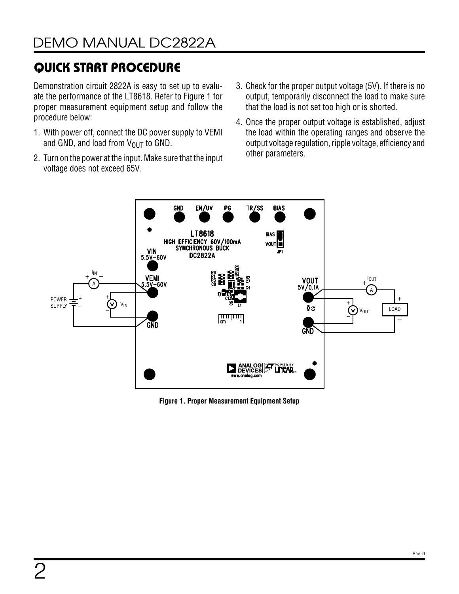## QUICK START PROCEDURE

Demonstration circuit 2822A is easy to set up to evaluate the performance of the LT8618. Refer to Figure 1 for proper measurement equipment setup and follow the procedure below:

- 1. With power off, connect the DC power supply to VEMI and GND, and load from  $V_{\text{OUT}}$  to GND.
- 2. Turn on the power at the input. Make sure that the input voltage does not exceed 65V.
- 3. Check for the proper output voltage (5V). If there is no output, temporarily disconnect the load to make sure that the load is not set too high or is shorted.
- 4. Once the proper output voltage is established, adjust the load within the operating ranges and observe the output voltage regulation, ripple voltage, efficiency and other parameters.



**Figure 1. Proper Measurement Equipment Setup**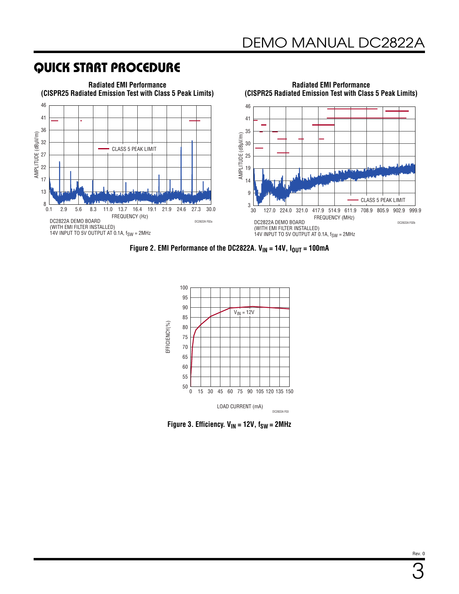## QUICK START PROCEDURE



**Figure 2. EMI Performance of the DC2822A. V<sub>IN</sub> = 14V, I<sub>OUT</sub> = 100mA** 



**Figure 3. Efficiency.**  $V_{IN} = 12V$ ,  $f_{SW} = 2MHz$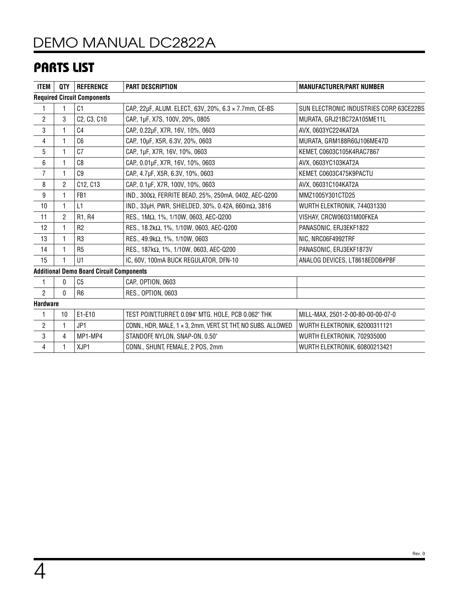## [DEMO MANUAL DC2822A](https://www.analog.com/DC2822A?doc=DC2822A.pdf)

## PARTS LIST

| <b>ITEM</b>                                     | QTY            | <b>REFERENCE</b> | <b>PART DESCRIPTION</b>                                       | <b>MANUFACTURER/PART NUMBER</b>          |  |  |
|-------------------------------------------------|----------------|------------------|---------------------------------------------------------------|------------------------------------------|--|--|
| <b>Required Circuit Components</b>              |                |                  |                                                               |                                          |  |  |
|                                                 |                | C1               | CAP., 22µF, ALUM. ELECT., 63V, 20%, 6.3 × 7.7mm, CE-BS        | SUN ELECTRONIC INDUSTRIES CORP, 63CE22BS |  |  |
| $\overline{2}$                                  | 3              | C2, C3, C10      | CAP., 1µF, X7S, 100V, 20%, 0805                               | MURATA, GRJ21BC72A105ME11L               |  |  |
| 3                                               |                | C <sub>4</sub>   | CAP., 0.22µF, X7R, 16V, 10%, 0603                             | AVX, 0603YC224KAT2A                      |  |  |
| 4                                               | 1              | C <sub>6</sub>   | CAP., 10µF, X5R, 6.3V, 20%, 0603                              | MURATA, GRM188R60J106ME47D               |  |  |
| 5                                               |                | C <sub>7</sub>   | CAP., 1µF, X7R, 16V, 10%, 0603                                | KEMET, C0603C105K4RAC7867                |  |  |
| 6                                               | 1              | C8               | CAP., 0.01µF, X7R, 16V, 10%, 0603                             | AVX, 0603YC103KAT2A                      |  |  |
| $\overline{7}$                                  |                | C9               | CAP., 4.7µF, X5R, 6.3V, 10%, 0603                             | KEMET, C0603C475K9PACTU                  |  |  |
| 8                                               | 2              | C12, C13         | CAP., 0.1µF, X7R, 100V, 10%, 0603                             | AVX, 06031C104KAT2A                      |  |  |
| 9                                               | 1              | FB <sub>1</sub>  | IND., 300Ω, FERRITE BEAD, 25%, 250mA, 0402, AEC-Q200          | MMZ1005Y301CTD25                         |  |  |
| 10                                              | 1              | L1               | IND., 33µH, PWR, SHIELDED, 30%, 0.42A, 660m $\Omega$ , 3816   | WURTH ELEKTRONIK, 744031330              |  |  |
| 11                                              | $\overline{2}$ | R1, R4           | RES., 1ΜΩ, 1%, 1/10W, 0603, AEC-Q200                          | VISHAY, CRCW06031M00FKEA                 |  |  |
| 12                                              |                | R <sub>2</sub>   | RES., 18.2kΩ, 1%, 1/10W, 0603, AEC-Q200                       | PANASONIC, ERJ3EKF1822                   |  |  |
| 13                                              |                | R <sub>3</sub>   | RES., $49.9k\Omega$ , $1\%$ , $1/10W$ , 0603                  | NIC, NRC06F4992TRF                       |  |  |
| 14                                              | 1              | R <sub>5</sub>   | RES., 187kΩ, 1%, 1/10W, 0603, AEC-Q200                        | PANASONIC, ERJ3EKF1873V                  |  |  |
| 15                                              |                | U1               | IC, 60V, 100mA BUCK REGULATOR, DFN-10                         | ANALOG DEVICES, LT8618EDDB#PBF           |  |  |
| <b>Additional Demo Board Circuit Components</b> |                |                  |                                                               |                                          |  |  |
| 1                                               | 0              | C <sub>5</sub>   | CAP., OPTION, 0603                                            |                                          |  |  |
| $\overline{2}$                                  | 0              | R <sub>6</sub>   | RES., OPTION, 0603                                            |                                          |  |  |
| <b>Hardware</b>                                 |                |                  |                                                               |                                          |  |  |
| 1                                               | 10             | E1-E10           | TEST POINT, TURRET, 0.094" MTG. HOLE, PCB 0.062" THK          | MILL-MAX, 2501-2-00-80-00-00-07-0        |  |  |
| $\overline{c}$                                  | 1              | JP1              | CONN., HDR, MALE, 1 x 3, 2mm, VERT, ST, THT, NO SUBS. ALLOWED | WURTH ELEKTRONIK, 62000311121            |  |  |
| 3                                               | 4              | MP1-MP4          | STANDOFF, NYLON, SNAP-ON, 0.50"                               | WURTH ELEKTRONIK, 702935000              |  |  |
| 4                                               |                | XJP1             | CONN., SHUNT, FEMALE, 2 POS, 2mm                              | WURTH ELEKTRONIK, 60800213421            |  |  |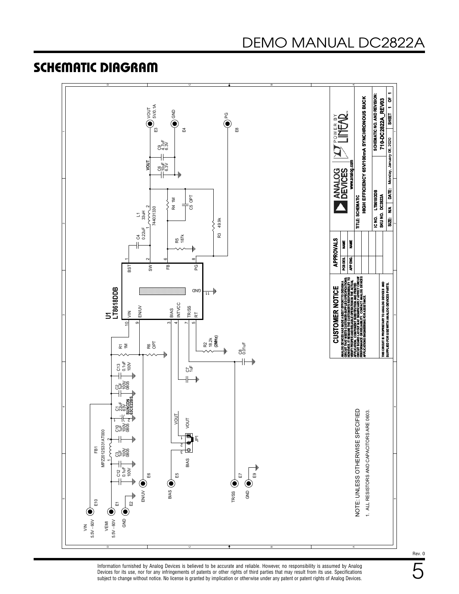### SCHEMATIC DIAGRAM





5 Rev. 0

Information furnished by Analog Devices is believed to be accurate and reliable. However, no responsibility is assumed by Analog Devices for its use, nor for any infringements of patents or other rights of third parties that may result from its use. Specifications subject to change without notice. No license is granted by implication or otherwise under any patent or patent rights of Analog Devices.